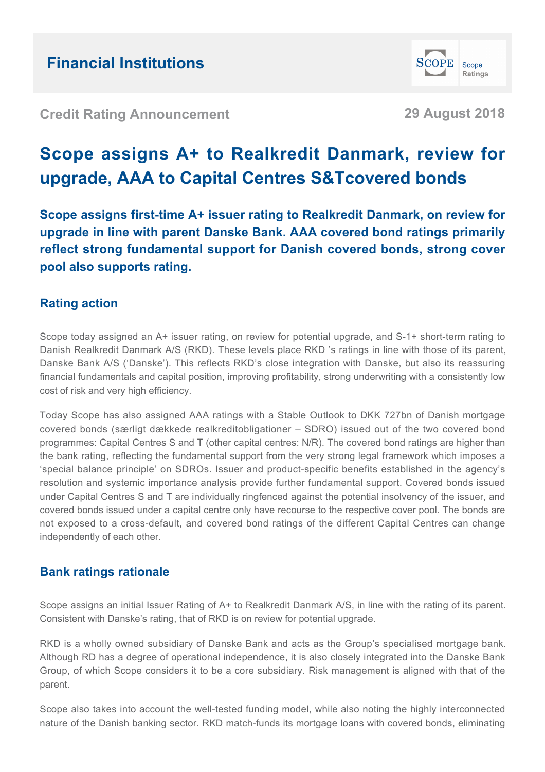**Credit Rating Announcement 29 August 2018**

Scope Ratings

**SCOPE** 

# **Scope assigns A+ to Realkredit Danmark, review for upgrade, AAA to Capital Centres S&Tcovered bonds**

**Scope assigns first-time A+ issuer rating to Realkredit Danmark, on review for upgrade in line with parent Danske Bank. AAA covered bond ratings primarily reflect strong fundamental support for Danish covered bonds, strong cover pool also supports rating.**

### **Rating action**

Scope today assigned an A+ issuer rating, on review for potential upgrade, and S-1+ short-term rating to Danish Realkredit Danmark A/S (RKD). These levels place RKD 's ratings in line with those of its parent, Danske Bank A/S ('Danske'). This reflects RKD's close integration with Danske, but also its reassuring financial fundamentals and capital position, improving profitability, strong underwriting with a consistently low cost of risk and very high efficiency.

Today Scope has also assigned AAA ratings with a Stable Outlook to DKK 727bn of Danish mortgage covered bonds (særligt dækkede realkreditobligationer – SDRO) issued out of the two covered bond programmes: Capital Centres S and T (other capital centres: N/R). The covered bond ratings are higher than the bank rating, reflecting the fundamental support from the very strong legal framework which imposes a 'special balance principle' on SDROs. Issuer and product-specific benefits established in the agency's resolution and systemic importance analysis provide further fundamental support. Covered bonds issued under Capital Centres S and T are individually ringfenced against the potential insolvency of the issuer, and covered bonds issued under a capital centre only have recourse to the respective cover pool. The bonds are not exposed to a cross-default, and covered bond ratings of the different Capital Centres can change independently of each other.

### **Bank ratings rationale**

Scope assigns an initial Issuer Rating of A+ to Realkredit Danmark A/S, in line with the rating of its parent. Consistent with Danske's rating, that of RKD is on review for potential upgrade.

RKD is a wholly owned subsidiary of Danske Bank and acts as the Group's specialised mortgage bank. Although RD has a degree of operational independence, it is also closely integrated into the Danske Bank Group, of which Scope considers it to be a core subsidiary. Risk management is aligned with that of the parent.

Scope also takes into account the well-tested funding model, while also noting the highly interconnected nature of the Danish banking sector. RKD match-funds its mortgage loans with covered bonds, eliminating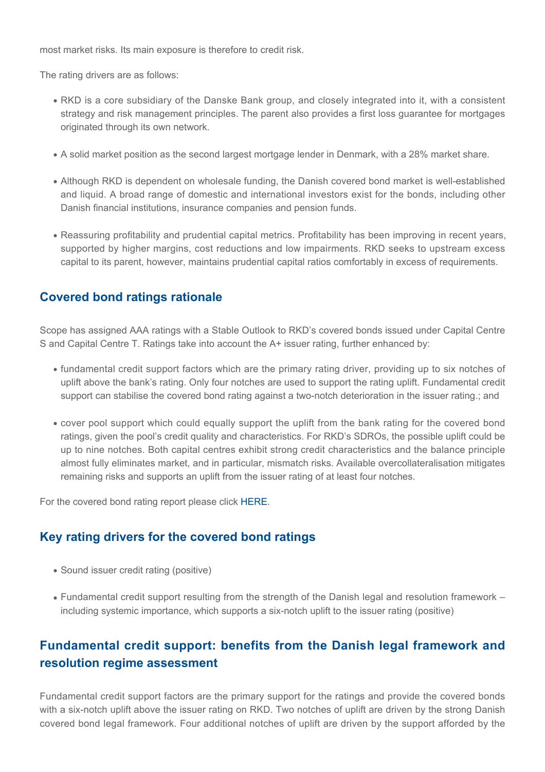most market risks. Its main exposure is therefore to credit risk.

The rating drivers are as follows:

- RKD is a core subsidiary of the Danske Bank group, and closely integrated into it, with a consistent strategy and risk management principles. The parent also provides a first loss guarantee for mortgages originated through its own network.
- A solid market position as the second largest mortgage lender in Denmark, with a 28% market share.
- Although RKD is dependent on wholesale funding, the Danish covered bond market is well-established and liquid. A broad range of domestic and international investors exist for the bonds, including other Danish financial institutions, insurance companies and pension funds.
- Reassuring profitability and prudential capital metrics. Profitability has been improving in recent years, supported by higher margins, cost reductions and low impairments. RKD seeks to upstream excess capital to its parent, however, maintains prudential capital ratios comfortably in excess of requirements.

### **Covered bond ratings rationale**

Scope has assigned AAA ratings with a Stable Outlook to RKD's covered bonds issued under Capital Centre S and Capital Centre T. Ratings take into account the A+ issuer rating, further enhanced by:

- $\bullet$  fundamental credit support factors which are the primary rating driver, providing up to six notches of uplift above the bank's rating. Only four notches are used to support the rating uplift. Fundamental credit support can stabilise the covered bond rating against a two-notch deterioration in the issuer rating.; and
- cover pool support which could equally support the uplift from the bank rating for the covered bond ratings, given the pool's credit quality and characteristics. For RKD's SDROs, the possible uplift could be up to nine notches. Both capital centres exhibit strong credit characteristics and the balance principle almost fully eliminates market, and in particular, mismatch risks. Available overcollateralisation mitigates remaining risks and supports an uplift from the issuer rating of at least four notches.

For the covered bond rating report please click [HERE.](http://www.scoperatings.com/ScopeRatingsApi/api/downloadanalysis?id=dbe9f5e9-3701-4d07-9e20-ac4aec0d4d3d)

### **Key rating drivers for the covered bond ratings**

- Sound issuer credit rating (positive)
- $\bullet$  Fundamental credit support resulting from the strength of the Danish legal and resolution framework including systemic importance, which supports a six-notch uplift to the issuer rating (positive)

## **Fundamental credit support: benefits from the Danish legal framework and resolution regime assessment**

Fundamental credit support factors are the primary support for the ratings and provide the covered bonds with a six-notch uplift above the issuer rating on RKD. Two notches of uplift are driven by the strong Danish covered bond legal framework. Four additional notches of uplift are driven by the support afforded by the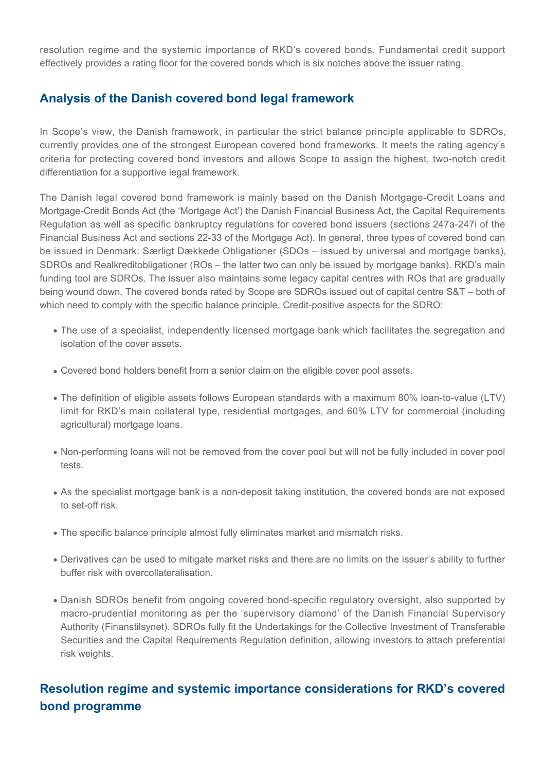resolution regime and the systemic importance of RKD's covered bonds. Fundamental credit support effectively provides a rating floor for the covered bonds which is six notches above the issuer rating.

### **Analysis of the Danish covered bond legal framework**

In Scope's view, the Danish framework, in particular the strict balance principle applicable to SDROs, currently provides one of the strongest European covered bond frameworks. It meets the rating agency's criteria for protecting covered bond investors and allows Scope to assign the highest, two-notch credit differentiation for a supportive legal framework.

The Danish legal covered bond framework is mainly based on the Danish Mortgage-Credit Loans and Mortgage-Credit Bonds Act (the 'Mortgage Act') the Danish Financial Business Act, the Capital Requirements Regulation as well as specific bankruptcy regulations for covered bond issuers (sections 247a-247i of the Financial Business Act and sections 22-33 of the Mortgage Act). In general, three types of covered bond can be issued in Denmark: Særligt Dækkede Obligationer (SDOs – issued by universal and mortgage banks), SDROs and Realkreditobligationer (ROs – the latter two can only be issued by mortgage banks). RKD's main funding tool are SDROs. The issuer also maintains some legacy capital centres with ROs that are gradually being wound down. The covered bonds rated by Scope are SDROs issued out of capital centre S&T – both of which need to comply with the specific balance principle. Credit-positive aspects for the SDRO:

- The use of a specialist, independently licensed mortgage bank which facilitates the segregation and isolation of the cover assets.
- Covered bond holders benefit from a senior claim on the eligible cover pool assets.
- $\bullet$  The definition of eligible assets follows European standards with a maximum 80% loan-to-value (LTV) limit for RKD's main collateral type, residential mortgages, and 60% LTV for commercial (including agricultural) mortgage loans.
- Non-performing loans will not be removed from the cover pool but will not be fully included in cover pool tests.
- As the specialist mortgage bank is a non-deposit taking institution, the covered bonds are not exposed to set-off risk.
- The specific balance principle almost fully eliminates market and mismatch risks.
- Derivatives can be used to mitigate market risks and there are no limits on the issuer's ability to further buffer risk with overcollateralisation.
- Danish SDROs benefit from ongoing covered bond-specific regulatory oversight, also supported by macro-prudential monitoring as per the 'supervisory diamond' of the Danish Financial Supervisory Authority (Finanstilsynet). SDROs fully fit the Undertakings for the Collective Investment of Transferable Securities and the Capital Requirements Regulation definition, allowing investors to attach preferential risk weights.

### **Resolution regime and systemic importance considerations for RKD's covered bond programme**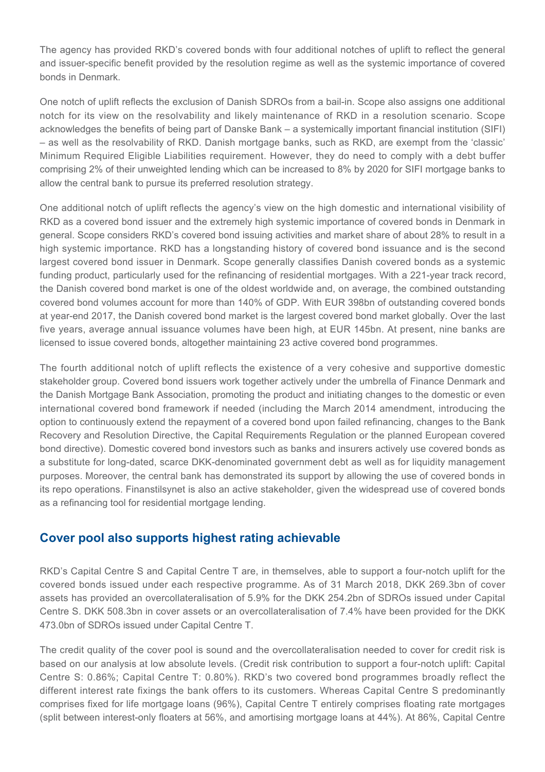The agency has provided RKD's covered bonds with four additional notches of uplift to reflect the general and issuer-specific benefit provided by the resolution regime as well as the systemic importance of covered bonds in Denmark.

One notch of uplift reflects the exclusion of Danish SDROs from a bail-in. Scope also assigns one additional notch for its view on the resolvability and likely maintenance of RKD in a resolution scenario. Scope acknowledges the benefits of being part of Danske Bank – a systemically important financial institution (SIFI) – as well as the resolvability of RKD. Danish mortgage banks, such as RKD, are exempt from the 'classic' Minimum Required Eligible Liabilities requirement. However, they do need to comply with a debt buffer comprising 2% of their unweighted lending which can be increased to 8% by 2020 for SIFI mortgage banks to allow the central bank to pursue its preferred resolution strategy.

One additional notch of uplift reflects the agency's view on the high domestic and international visibility of RKD as a covered bond issuer and the extremely high systemic importance of covered bonds in Denmark in general. Scope considers RKD's covered bond issuing activities and market share of about 28% to result in a high systemic importance. RKD has a longstanding history of covered bond issuance and is the second largest covered bond issuer in Denmark. Scope generally classifies Danish covered bonds as a systemic funding product, particularly used for the refinancing of residential mortgages. With a 221-year track record, the Danish covered bond market is one of the oldest worldwide and, on average, the combined outstanding covered bond volumes account for more than 140% of GDP. With EUR 398bn of outstanding covered bonds at year-end 2017, the Danish covered bond market is the largest covered bond market globally. Over the last five years, average annual issuance volumes have been high, at EUR 145bn. At present, nine banks are licensed to issue covered bonds, altogether maintaining 23 active covered bond programmes.

The fourth additional notch of uplift reflects the existence of a very cohesive and supportive domestic stakeholder group. Covered bond issuers work together actively under the umbrella of Finance Denmark and the Danish Mortgage Bank Association, promoting the product and initiating changes to the domestic or even international covered bond framework if needed (including the March 2014 amendment, introducing the option to continuously extend the repayment of a covered bond upon failed refinancing, changes to the Bank Recovery and Resolution Directive, the Capital Requirements Regulation or the planned European covered bond directive). Domestic covered bond investors such as banks and insurers actively use covered bonds as a substitute for long-dated, scarce DKK-denominated government debt as well as for liquidity management purposes. Moreover, the central bank has demonstrated its support by allowing the use of covered bonds in its repo operations. Finanstilsynet is also an active stakeholder, given the widespread use of covered bonds as a refinancing tool for residential mortgage lending.

#### **Cover pool also supports highest rating achievable**

RKD's Capital Centre S and Capital Centre T are, in themselves, able to support a four-notch uplift for the covered bonds issued under each respective programme. As of 31 March 2018, DKK 269.3bn of cover assets has provided an overcollateralisation of 5.9% for the DKK 254.2bn of SDROs issued under Capital Centre S. DKK 508.3bn in cover assets or an overcollateralisation of 7.4% have been provided for the DKK 473.0bn of SDROs issued under Capital Centre T.

The credit quality of the cover pool is sound and the overcollateralisation needed to cover for credit risk is based on our analysis at low absolute levels. (Credit risk contribution to support a four-notch uplift: Capital Centre S: 0.86%; Capital Centre T: 0.80%). RKD's two covered bond programmes broadly reflect the different interest rate fixings the bank offers to its customers. Whereas Capital Centre S predominantly comprises fixed for life mortgage loans (96%), Capital Centre T entirely comprises floating rate mortgages (split between interest-only floaters at 56%, and amortising mortgage loans at 44%). At 86%, Capital Centre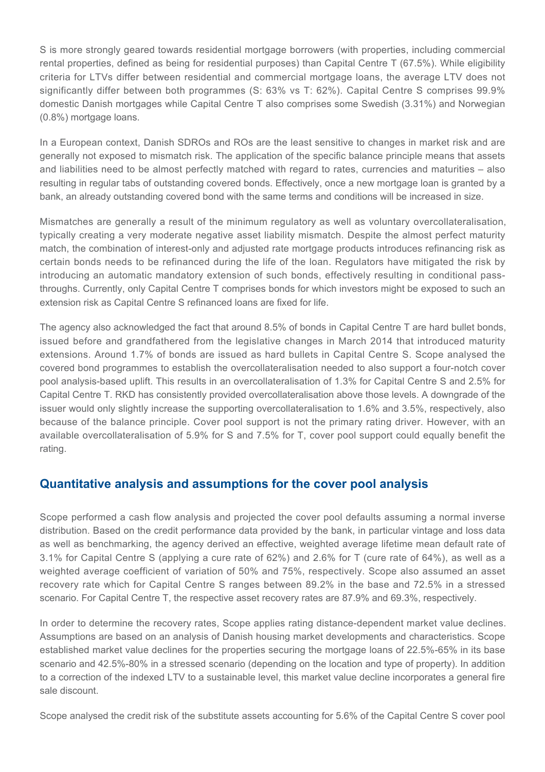S is more strongly geared towards residential mortgage borrowers (with properties, including commercial rental properties, defined as being for residential purposes) than Capital Centre T (67.5%). While eligibility criteria for LTVs differ between residential and commercial mortgage loans, the average LTV does not significantly differ between both programmes (S: 63% vs T: 62%). Capital Centre S comprises 99.9% domestic Danish mortgages while Capital Centre T also comprises some Swedish (3.31%) and Norwegian (0.8%) mortgage loans.

In a European context, Danish SDROs and ROs are the least sensitive to changes in market risk and are generally not exposed to mismatch risk. The application of the specific balance principle means that assets and liabilities need to be almost perfectly matched with regard to rates, currencies and maturities – also resulting in regular tabs of outstanding covered bonds. Effectively, once a new mortgage loan is granted by a bank, an already outstanding covered bond with the same terms and conditions will be increased in size.

Mismatches are generally a result of the minimum regulatory as well as voluntary overcollateralisation, typically creating a very moderate negative asset liability mismatch. Despite the almost perfect maturity match, the combination of interest-only and adjusted rate mortgage products introduces refinancing risk as certain bonds needs to be refinanced during the life of the loan. Regulators have mitigated the risk by introducing an automatic mandatory extension of such bonds, effectively resulting in conditional passthroughs. Currently, only Capital Centre T comprises bonds for which investors might be exposed to such an extension risk as Capital Centre S refinanced loans are fixed for life.

The agency also acknowledged the fact that around 8.5% of bonds in Capital Centre T are hard bullet bonds, issued before and grandfathered from the legislative changes in March 2014 that introduced maturity extensions. Around 1.7% of bonds are issued as hard bullets in Capital Centre S. Scope analysed the covered bond programmes to establish the overcollateralisation needed to also support a four-notch cover pool analysis-based uplift. This results in an overcollateralisation of 1.3% for Capital Centre S and 2.5% for Capital Centre T. RKD has consistently provided overcollateralisation above those levels. A downgrade of the issuer would only slightly increase the supporting overcollateralisation to 1.6% and 3.5%, respectively, also because of the balance principle. Cover pool support is not the primary rating driver. However, with an available overcollateralisation of 5.9% for S and 7.5% for T, cover pool support could equally benefit the rating.

#### **Quantitative analysis and assumptions for the cover pool analysis**

Scope performed a cash flow analysis and projected the cover pool defaults assuming a normal inverse distribution. Based on the credit performance data provided by the bank, in particular vintage and loss data as well as benchmarking, the agency derived an effective, weighted average lifetime mean default rate of 3.1% for Capital Centre S (applying a cure rate of 62%) and 2.6% for T (cure rate of 64%), as well as a weighted average coefficient of variation of 50% and 75%, respectively. Scope also assumed an asset recovery rate which for Capital Centre S ranges between 89.2% in the base and 72.5% in a stressed scenario. For Capital Centre T, the respective asset recovery rates are 87.9% and 69.3%, respectively.

In order to determine the recovery rates, Scope applies rating distance-dependent market value declines. Assumptions are based on an analysis of Danish housing market developments and characteristics. Scope established market value declines for the properties securing the mortgage loans of 22.5%-65% in its base scenario and 42.5%-80% in a stressed scenario (depending on the location and type of property). In addition to a correction of the indexed LTV to a sustainable level, this market value decline incorporates a general fire sale discount.

Scope analysed the credit risk of the substitute assets accounting for 5.6% of the Capital Centre S cover pool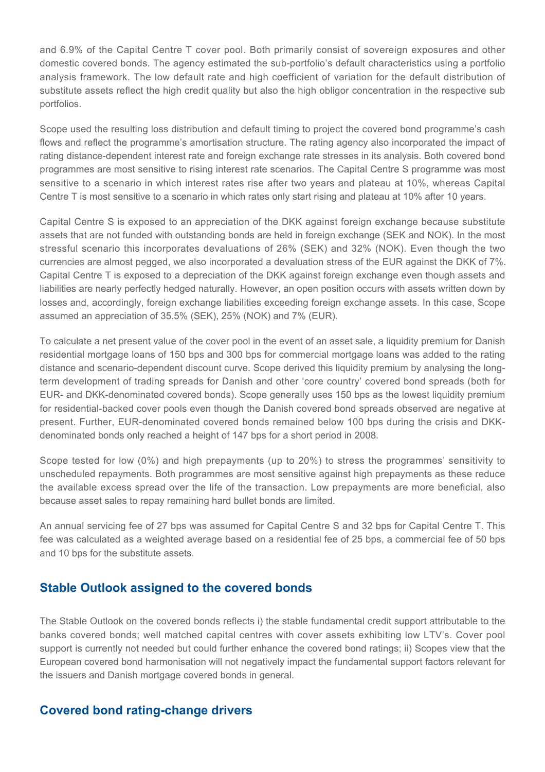and 6.9% of the Capital Centre T cover pool. Both primarily consist of sovereign exposures and other domestic covered bonds. The agency estimated the sub-portfolio's default characteristics using a portfolio analysis framework. The low default rate and high coefficient of variation for the default distribution of substitute assets reflect the high credit quality but also the high obligor concentration in the respective sub portfolios.

Scope used the resulting loss distribution and default timing to project the covered bond programme's cash flows and reflect the programme's amortisation structure. The rating agency also incorporated the impact of rating distance-dependent interest rate and foreign exchange rate stresses in its analysis. Both covered bond programmes are most sensitive to rising interest rate scenarios. The Capital Centre S programme was most sensitive to a scenario in which interest rates rise after two years and plateau at 10%, whereas Capital Centre T is most sensitive to a scenario in which rates only start rising and plateau at 10% after 10 years.

Capital Centre S is exposed to an appreciation of the DKK against foreign exchange because substitute assets that are not funded with outstanding bonds are held in foreign exchange (SEK and NOK). In the most stressful scenario this incorporates devaluations of 26% (SEK) and 32% (NOK). Even though the two currencies are almost pegged, we also incorporated a devaluation stress of the EUR against the DKK of 7%. Capital Centre T is exposed to a depreciation of the DKK against foreign exchange even though assets and liabilities are nearly perfectly hedged naturally. However, an open position occurs with assets written down by losses and, accordingly, foreign exchange liabilities exceeding foreign exchange assets. In this case, Scope assumed an appreciation of 35.5% (SEK), 25% (NOK) and 7% (EUR).

To calculate a net present value of the cover pool in the event of an asset sale, a liquidity premium for Danish residential mortgage loans of 150 bps and 300 bps for commercial mortgage loans was added to the rating distance and scenario-dependent discount curve. Scope derived this liquidity premium by analysing the longterm development of trading spreads for Danish and other 'core country' covered bond spreads (both for EUR- and DKK-denominated covered bonds). Scope generally uses 150 bps as the lowest liquidity premium for residential-backed cover pools even though the Danish covered bond spreads observed are negative at present. Further, EUR-denominated covered bonds remained below 100 bps during the crisis and DKKdenominated bonds only reached a height of 147 bps for a short period in 2008.

Scope tested for low (0%) and high prepayments (up to 20%) to stress the programmes' sensitivity to unscheduled repayments. Both programmes are most sensitive against high prepayments as these reduce the available excess spread over the life of the transaction. Low prepayments are more beneficial, also because asset sales to repay remaining hard bullet bonds are limited.

An annual servicing fee of 27 bps was assumed for Capital Centre S and 32 bps for Capital Centre T. This fee was calculated as a weighted average based on a residential fee of 25 bps, a commercial fee of 50 bps and 10 bps for the substitute assets.

#### **Stable Outlook assigned to the covered bonds**

The Stable Outlook on the covered bonds reflects i) the stable fundamental credit support attributable to the banks covered bonds; well matched capital centres with cover assets exhibiting low LTV's. Cover pool support is currently not needed but could further enhance the covered bond ratings; ii) Scopes view that the European covered bond harmonisation will not negatively impact the fundamental support factors relevant for the issuers and Danish mortgage covered bonds in general.

#### **Covered bond rating-change drivers**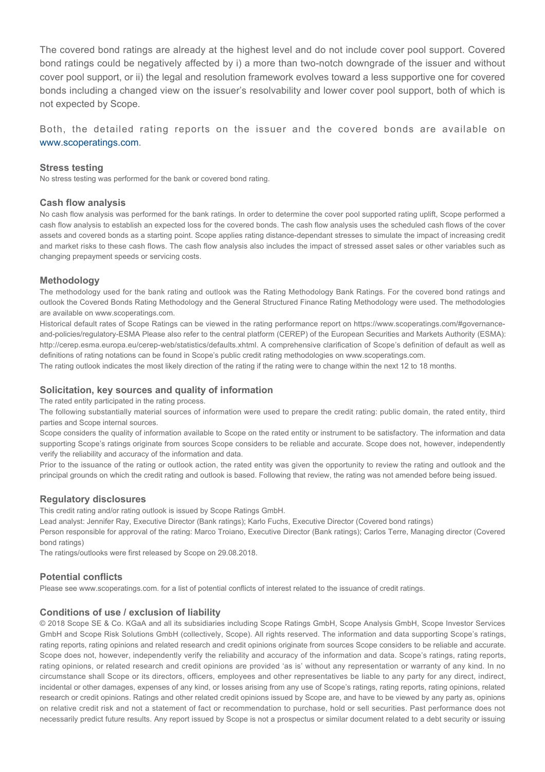The covered bond ratings are already at the highest level and do not include cover pool support. Covered bond ratings could be negatively affected by i) a more than two-notch downgrade of the issuer and without cover pool support, or ii) the legal and resolution framework evolves toward a less supportive one for covered bonds including a changed view on the issuer's resolvability and lower cover pool support, both of which is not expected by Scope.

Both, the detailed rating reports on the issuer and the covered bonds are available on [www.scoperatings.com](http://www.scoperatings.com).

#### **Stress testing**

No stress testing was performed for the bank or covered bond rating.

#### **Cash flow analysis**

No cash flow analysis was performed for the bank ratings. In order to determine the cover pool supported rating uplift, Scope performed a cash flow analysis to establish an expected loss for the covered bonds. The cash flow analysis uses the scheduled cash flows of the cover assets and covered bonds as a starting point. Scope applies rating distance-dependant stresses to simulate the impact of increasing credit and market risks to these cash flows. The cash flow analysis also includes the impact of stressed asset sales or other variables such as changing prepayment speeds or servicing costs.

#### **Methodology**

The methodology used for the bank rating and outlook was the Rating Methodology Bank Ratings. For the covered bond ratings and outlook the Covered Bonds Rating Methodology and the General Structured Finance Rating Methodology were used. The methodologies are available on www.scoperatings.com.

Historical default rates of Scope Ratings can be viewed in the rating performance report on https://www.scoperatings.com/#governanceand-policies/regulatory-ESMA Please also refer to the central platform (CEREP) of the European Securities and Markets Authority (ESMA): http://cerep.esma.europa.eu/cerep-web/statistics/defaults.xhtml. A comprehensive clarification of Scope's definition of default as well as definitions of rating notations can be found in Scope's public credit rating methodologies on www.scoperatings.com.

The rating outlook indicates the most likely direction of the rating if the rating were to change within the next 12 to 18 months.

#### **Solicitation, key sources and quality of information**

The rated entity participated in the rating process.

The following substantially material sources of information were used to prepare the credit rating: public domain, the rated entity, third parties and Scope internal sources.

Scope considers the quality of information available to Scope on the rated entity or instrument to be satisfactory. The information and data supporting Scope's ratings originate from sources Scope considers to be reliable and accurate. Scope does not, however, independently verify the reliability and accuracy of the information and data.

Prior to the issuance of the rating or outlook action, the rated entity was given the opportunity to review the rating and outlook and the principal grounds on which the credit rating and outlook is based. Following that review, the rating was not amended before being issued.

#### **Regulatory disclosures**

This credit rating and/or rating outlook is issued by Scope Ratings GmbH.

Lead analyst: Jennifer Ray, Executive Director (Bank ratings); Karlo Fuchs, Executive Director (Covered bond ratings)

Person responsible for approval of the rating: Marco Troiano, Executive Director (Bank ratings); Carlos Terre, Managing director (Covered bond ratings)

The ratings/outlooks were first released by Scope on 29.08.2018.

#### **Potential conflicts**

Please see www.scoperatings.com. for a list of potential conflicts of interest related to the issuance of credit ratings.

#### **Conditions of use / exclusion of liability**

© 2018 Scope SE & Co. KGaA and all its subsidiaries including Scope Ratings GmbH, Scope Analysis GmbH, Scope Investor Services GmbH and Scope Risk Solutions GmbH (collectively, Scope). All rights reserved. The information and data supporting Scope's ratings, rating reports, rating opinions and related research and credit opinions originate from sources Scope considers to be reliable and accurate. Scope does not, however, independently verify the reliability and accuracy of the information and data. Scope's ratings, rating reports, rating opinions, or related research and credit opinions are provided 'as is' without any representation or warranty of any kind. In no circumstance shall Scope or its directors, officers, employees and other representatives be liable to any party for any direct, indirect, incidental or other damages, expenses of any kind, or losses arising from any use of Scope's ratings, rating reports, rating opinions, related research or credit opinions. Ratings and other related credit opinions issued by Scope are, and have to be viewed by any party as, opinions on relative credit risk and not a statement of fact or recommendation to purchase, hold or sell securities. Past performance does not necessarily predict future results. Any report issued by Scope is not a prospectus or similar document related to a debt security or issuing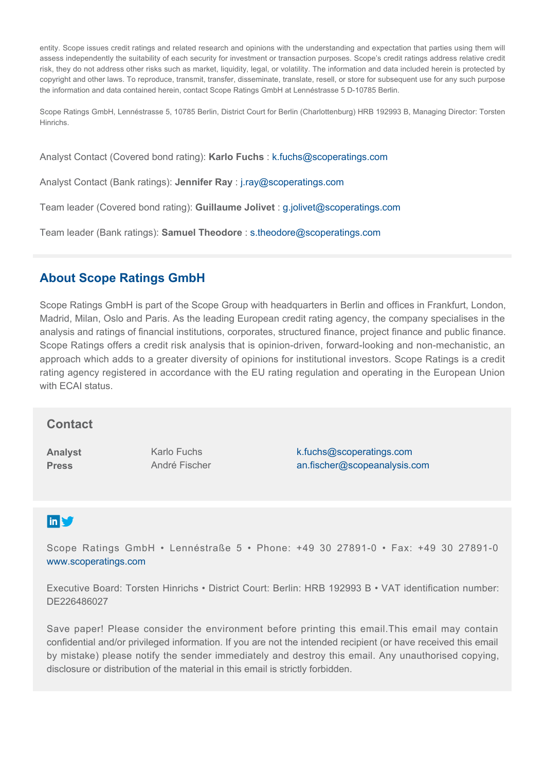entity. Scope issues credit ratings and related research and opinions with the understanding and expectation that parties using them will assess independently the suitability of each security for investment or transaction purposes. Scope's credit ratings address relative credit risk, they do not address other risks such as market, liquidity, legal, or volatility. The information and data included herein is protected by copyright and other laws. To reproduce, transmit, transfer, disseminate, translate, resell, or store for subsequent use for any such purpose the information and data contained herein, contact Scope Ratings GmbH at Lennéstrasse 5 D-10785 Berlin.

Scope Ratings GmbH, Lennéstrasse 5, 10785 Berlin, District Court for Berlin (Charlottenburg) HRB 192993 B, Managing Director: Torsten Hinrichs.

Analyst Contact (Covered bond rating): **Karlo Fuchs** : [k.fuchs@scoperatings.com](mailto:k.fuchs@scoperatings.com)

Analyst Contact (Bank ratings): **Jennifer Ray** : [j.ray@scoperatings.com](mailto:j.ray@scoperatings.com)

Team leader (Covered bond rating): **Guillaume Jolivet** : [g.jolivet@scoperatings.com](mailto:g.jolivet@scoperatings.com)

Team leader (Bank ratings): **Samuel Theodore** : [s.theodore@scoperatings.com](mailto:s.theodore@scoperatings.com ) 

### **About Scope Ratings GmbH**

Scope Ratings GmbH is part of the Scope Group with headquarters in Berlin and offices in Frankfurt, London, Madrid, Milan, Oslo and Paris. As the leading European credit rating agency, the company specialises in the analysis and ratings of financial institutions, corporates, structured finance, project finance and public finance. Scope Ratings offers a credit risk analysis that is opinion-driven, forward-looking and non-mechanistic, an approach which adds to a greater diversity of opinions for institutional investors. Scope Ratings is a credit rating agency registered in accordance with the EU rating regulation and operating in the European Union with ECAI status.

#### **Contact**

**Analyst Press**

Karlo Fuchs André Fischer [k.fuchs@scoperatings.com](mailto:k.fuchs@scoperatings.com) [an.fischer@scopeanalysis.com](mailto:an.fischer@scopeanalysis.com)

### **in S**

Scope Ratings GmbH • Lennéstraße 5 • Phone: +49 30 27891-0 • Fax: +49 30 27891-0 <www.scoperatings.com>

Executive Board: Torsten Hinrichs • District Court: Berlin: HRB 192993 B • VAT identification number: DE226486027

Save paper! Please consider the environment before printing this email.This email may contain confidential and/or privileged information. If you are not the intended recipient (or have received this email by mistake) please notify the sender immediately and destroy this email. Any unauthorised copying, disclosure or distribution of the material in this email is strictly forbidden.